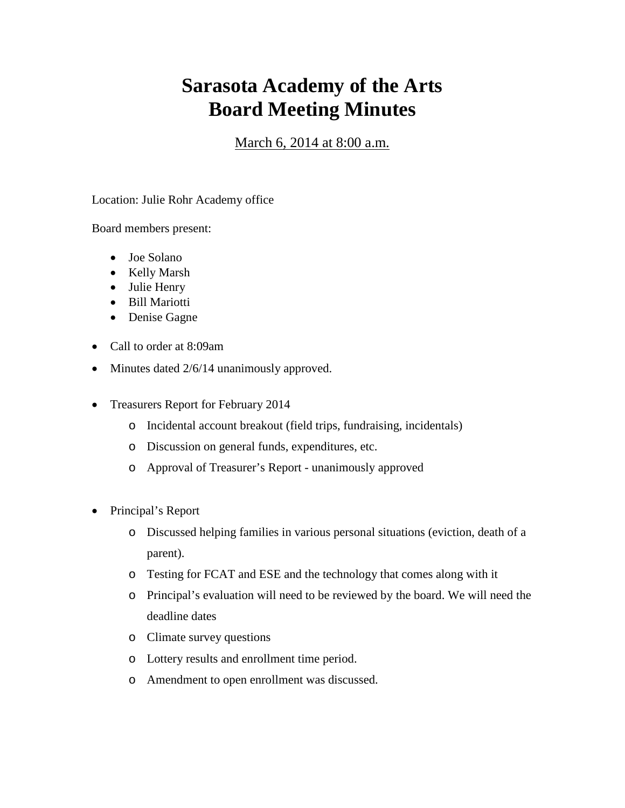## **Sarasota Academy of the Arts Board Meeting Minutes**

March 6, 2014 at 8:00 a.m.

Location: Julie Rohr Academy office

Board members present:

- Joe Solano
- Kelly Marsh
- Julie Henry
- Bill Mariotti
- Denise Gagne
- Call to order at 8:09am
- Minutes dated  $2/6/14$  unanimously approved.
- Treasurers Report for February 2014
	- o Incidental account breakout (field trips, fundraising, incidentals)
	- o Discussion on general funds, expenditures, etc.
	- o Approval of Treasurer's Report unanimously approved
- Principal's Report
	- o Discussed helping families in various personal situations (eviction, death of a parent).
	- o Testing for FCAT and ESE and the technology that comes along with it
	- o Principal's evaluation will need to be reviewed by the board. We will need the deadline dates
	- o Climate survey questions
	- o Lottery results and enrollment time period.
	- o Amendment to open enrollment was discussed.